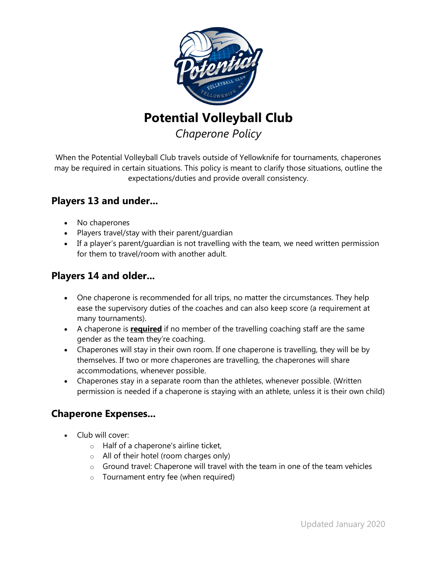

**Potential Volleyball Club**

*Chaperone Policy*

When the Potential Volleyball Club travels outside of Yellowknife for tournaments, chaperones may be required in certain situations. This policy is meant to clarify those situations, outline the expectations/duties and provide overall consistency.

### **Players 13 and under...**

- No chaperones
- Players travel/stay with their parent/guardian
- If a player's parent/guardian is not travelling with the team, we need written permission for them to travel/room with another adult.

## **Players 14 and older...**

- One chaperone is recommended for all trips, no matter the circumstances. They help ease the supervisory duties of the coaches and can also keep score (a requirement at many tournaments).
- A chaperone is **required** if no member of the travelling coaching staff are the same gender as the team they're coaching.
- Chaperones will stay in their own room. If one chaperone is travelling, they will be by themselves. If two or more chaperones are travelling, the chaperones will share accommodations, whenever possible.
- Chaperones stay in a separate room than the athletes, whenever possible. (Written permission is needed if a chaperone is staying with an athlete, unless it is their own child)

# **Chaperone Expenses...**

- Club will cover:
	- o Half of a chaperone's airline ticket,
	- o All of their hotel (room charges only)
	- $\circ$  Ground travel: Chaperone will travel with the team in one of the team vehicles
	- o Tournament entry fee (when required)